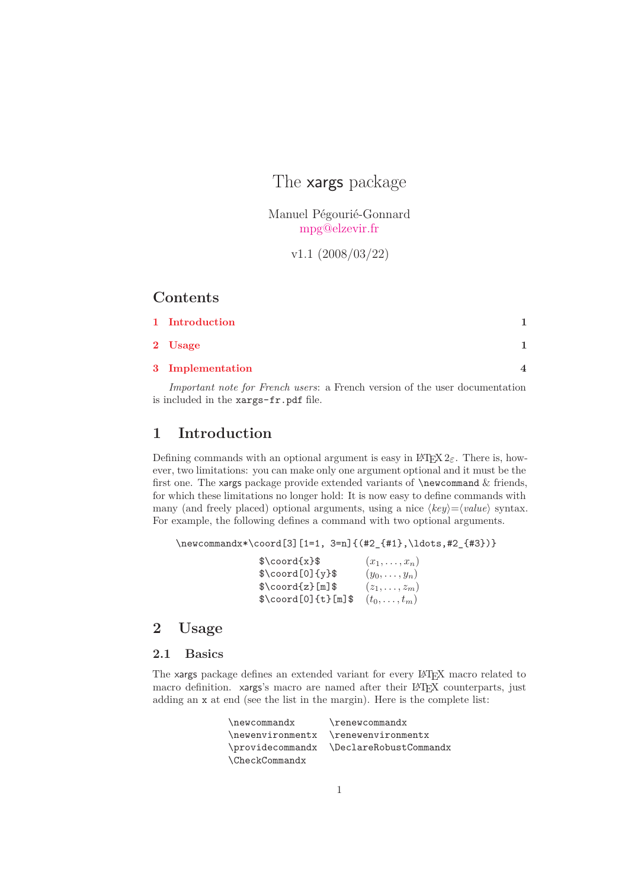The **xargs** package

Manuel Pégourié-Gonnard [mpg@elzevir.fr](mailto:mpg@elzevir.fr)

v1.1 (2008/03/22)

# **Contents**

| 1 Introduction   |  |
|------------------|--|
| 2 Usage          |  |
| 3 Implementation |  |

*Important note for French users*: a French version of the user documentation is included in the xargs-fr.pdf file.

# <span id="page-0-0"></span>**1 Introduction**

Defining commands with an optional argument is easy in  $\mathbb{F}(\mathbb{F}X)$  2<sub>ε</sub>. There is, however, two limitations: you can make only one argument optional and it must be the first one. The xargs package provide extended variants of \newcommand & friends, for which these limitations no longer hold: It is now easy to define commands with many (and freely placed) optional arguments, using a nice  $\langle key \rangle = \langle value \rangle$  syntax. For example, the following defines a command with two optional arguments.

```
\newcommandx*\coord[3][1=1, 3=n]{(#2_{#1},\ldots,#2_{#3})}
```

| $\cos\frac{x}{s}$         | $(x_1,\ldots,x_n)$ |
|---------------------------|--------------------|
| $\quadcord[0]{y}\$        | $(y_0,\ldots,y_n)$ |
| $\text{Cord}\{z\}$ [m] \$ | $(z_1,\ldots,z_m)$ |
| $\cdot$ \coord[0]{t}[m]\$ | $(t_0,\ldots,t_m)$ |

# <span id="page-0-1"></span>**2 Usage**

## **2.1 Basics**

The xargs package defines an extended variant for every LATEX macro related to macro definition. xargs's macro are named after their LAT<sub>EX</sub> counterparts, just adding an x at end (see the list in the margin). Here is the complete list:

| \newcommandx          | $\$ {renewcommandx}                     |
|-----------------------|-----------------------------------------|
|                       | \newenvironmentx \renewenvironmentx     |
|                       | \providecommandx \DeclareRobustCommandx |
| <b>\CheckCommandx</b> |                                         |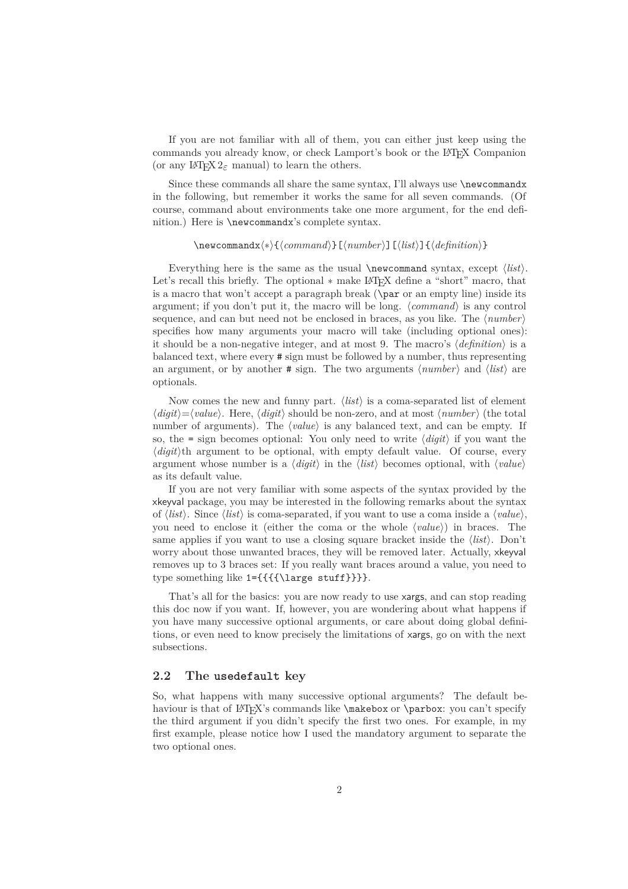If you are not familiar with all of them, you can either just keep using the commands you already know, or check Lamport's book or the L<sup>A</sup>TEX Companion (or any  $\text{LATEX } 2\varepsilon$  manual) to learn the others.

Since these commands all share the same syntax, I'll always use  $\neq \newcommand{\mbox}{\mbox{argmin}$ in the following, but remember it works the same for all seven commands. (Of course, command about environments take one more argument, for the end definition.) Here is \newcommandx's complete syntax.

#### \newcommandx*h∗i*{*hcommandi*}[*hnumberi*][*hlisti*]{*hdefinitioni*}

Everything here is the same as the usual **\newcommand** syntax, except  $\langle list \rangle$ . Let's recall this briefly. The optional  $∗$  make L<sup>AT</sup>EX define a "short" macro, that is a macro that won't accept a paragraph break  $(\n\parrow a$  ar or an empty line) inside its argument; if you don't put it, the macro will be long.  $\langle command \rangle$  is any control sequence, and can but need not be enclosed in braces, as you like. The *hnumberi* specifies how many arguments your macro will take (including optional ones): it should be a non-negative integer, and at most 9. The macro's  $\langle definition \rangle$  is a balanced text, where every # sign must be followed by a number, thus representing an argument, or by another  $\#$  sign. The two arguments  $\langle number \rangle$  and  $\langle list \rangle$  are optionals.

Now comes the new and funny part.  $\langle list \rangle$  is a coma-separated list of element  $\langle$ *digit* $\rangle$ = $\langle$ *value* $\rangle$ . Here,  $\langle$ *digit* $\rangle$  should be non-zero, and at most  $\langle$ *number* $\rangle$  (the total number of arguments). The  $\langle value \rangle$  is any balanced text, and can be empty. If so, the = sign becomes optional: You only need to write  $\langle digit \rangle$  if you want the  $\langle$ *digit* $\rangle$ <sup>th</sup> argument to be optional, with empty default value. Of course, every argument whose number is a  $\langle$ *digit* $\rangle$  in the  $\langle$ *list* $\rangle$  becomes optional, with  $\langle$ *value* $\rangle$ as its default value.

If you are not very familiar with some aspects of the syntax provided by the xkeyval package, you may be interested in the following remarks about the syntax of  $\langle list \rangle$ . Since  $\langle list \rangle$  is coma-separated, if you want to use a coma inside a  $\langle value \rangle$ , you need to enclose it (either the coma or the whole *hvaluei*) in braces. The same applies if you want to use a closing square bracket inside the  $\langle list \rangle$ . Don't worry about those unwanted braces, they will be removed later. Actually, xkeyval removes up to 3 braces set: If you really want braces around a value, you need to type something like 1={{{{\large stuff}}}}.

That's all for the basics: you are now ready to use xargs, and can stop reading this doc now if you want. If, however, you are wondering about what happens if you have many successive optional arguments, or care about doing global definitions, or even need to know precisely the limitations of xargs, go on with the next subsections.

### **2.2 The** usedefault **key**

So, what happens with many successive optional arguments? The default behaviour is that of LATEX's commands like **\makebox** or **\parbox**: you can't specify the third argument if you didn't specify the first two ones. For example, in my first example, please notice how I used the mandatory argument to separate the two optional ones.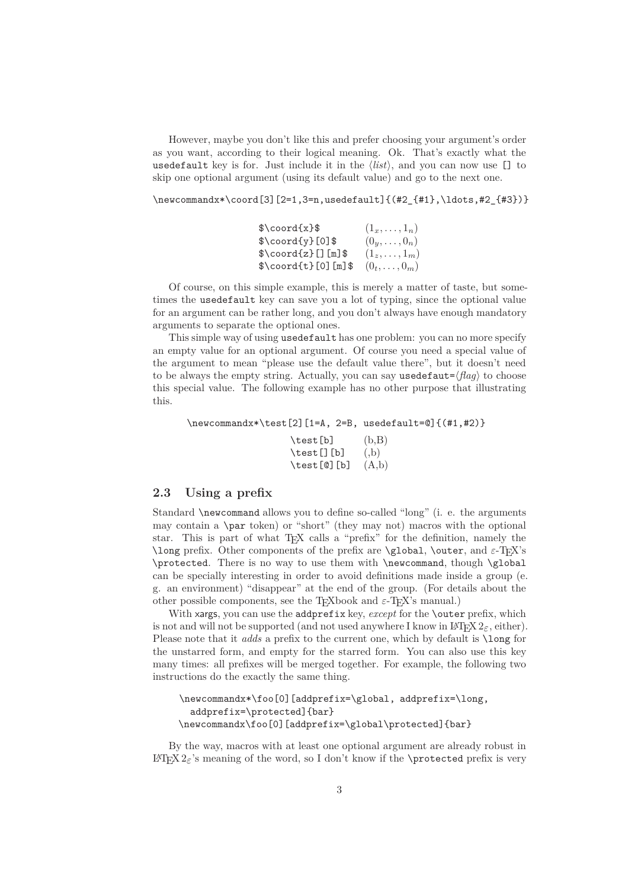However, maybe you don't like this and prefer choosing your argument's order as you want, according to their logical meaning. Ok. That's exactly what the usedefault key is for. Just include it in the  $\langle list \rangle$ , and you can now use  $[]$  to skip one optional argument (using its default value) and go to the next one.

\newcommandx\*\coord[3][2=1,3=n,usedefault]{(#2\_{#1},\ldots,#2\_{#3})}

| $\cos\frac{1}{x}$               | $(1_x, \ldots, 1_n)$ |
|---------------------------------|----------------------|
| $\text{Coord}\{y\}[0]\$         | $(0y,\ldots,0n)$     |
| $\text{Cord}\{z\}$ [] [m] \$    | $(1_z,\ldots,1_m)$   |
| $\{\cos\theta_{t}\}$ [0] [m] \$ | $(0_t,\ldots,0_m)$   |

Of course, on this simple example, this is merely a matter of taste, but sometimes the usedefault key can save you a lot of typing, since the optional value for an argument can be rather long, and you don't always have enough mandatory arguments to separate the optional ones.

This simple way of using usedefault has one problem: you can no more specify an empty value for an optional argument. Of course you need a special value of the argument to mean "please use the default value there", but it doesn't need to be always the empty string. Actually, you can say usedefaut= $\langle \text{flag} \rangle$  to choose this special value. The following example has no other purpose that illustrating this.

\newcommandx\*\test[2][1=A, 2=B, usedefault=@]{(#1,#2)}

 $\text{test}[b]$   $(b,B)$  $\text{test}[] [b] (b)$  $\text{test}[\text{\textdegreeled{0}}] [b] (A,b)$ 

### **2.3 Using a prefix**

Standard \newcommand allows you to define so-called "long" (i. e. the arguments may contain a \par token) or "short" (they may not) macros with the optional star. This is part of what TEX calls a "prefix" for the definition, namely the \long prefix. Other components of the prefix are \global, \outer, and  $\varepsilon$ -TFX's \protected. There is no way to use them with \newcommand, though \global can be specially interesting in order to avoid definitions made inside a group (e. g. an environment) "disappear" at the end of the group. (For details about the other possible components, see the T<sub>E</sub>Xbook and  $\varepsilon$ -T<sub>E</sub>X's manual.)

With xargs, you can use the addprefix key, *except* for the **\outer** prefix, which is not and will not be supported (and not used anywhere I know in  $\mathbb{F}(\mathbb{F}_p X \mathbb{2}_{\epsilon}, \text{either}).$ Please note that it *adds* a prefix to the current one, which by default is \long for the unstarred form, and empty for the starred form. You can also use this key many times: all prefixes will be merged together. For example, the following two instructions do the exactly the same thing.

```
\newcommandx*\foo[0][addprefix=\global, addprefix=\long,
  addprefix=\protected]{bar}
\newcommandx\foo[0][addprefix=\global\protected]{bar}
```
By the way, macros with at least one optional argument are already robust in  $\Delta E$ <sub>E</sub><sup>'s</sup> meaning of the word, so I don't know if the \protected prefix is very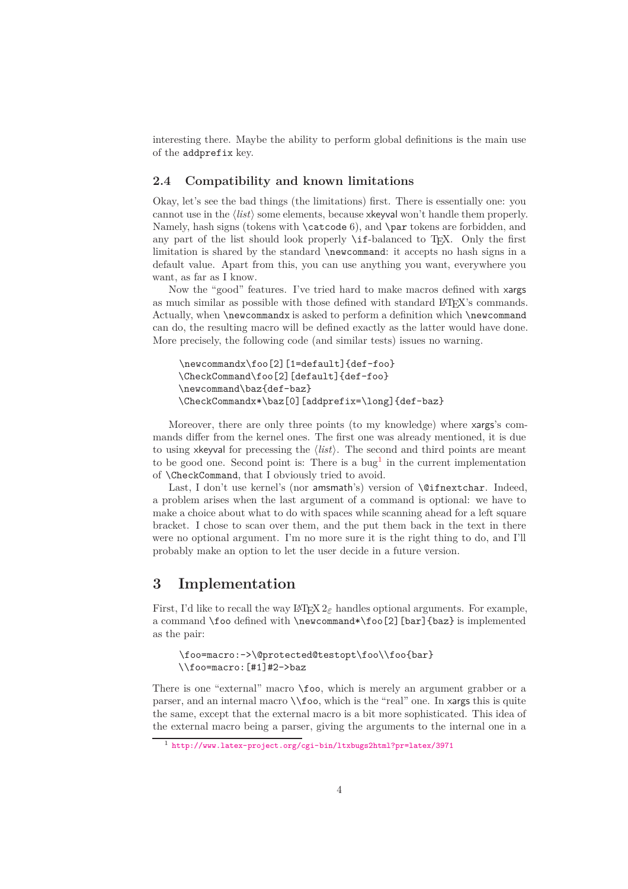interesting there. Maybe the ability to perform global definitions is the main use of the addprefix key.

### **2.4 Compatibility and known limitations**

Okay, let's see the bad things (the limitations) first. There is essentially one: you cannot use in the  $\langle list \rangle$  some elements, because x keyval won't handle them properly. Namely, hash signs (tokens with **\catcode 6)**, and **\par** tokens are forbidden, and any part of the list should look properly  $\ifmmode\big\vert\else\;\fi$  -balanced to T<sub>E</sub>X. Only the first limitation is shared by the standard \newcommand: it accepts no hash signs in a default value. Apart from this, you can use anything you want, everywhere you want, as far as I know.

Now the "good" features. I've tried hard to make macros defined with xargs as much similar as possible with those defined with standard L<sup>A</sup>TEX's commands. Actually, when \newcommandx is asked to perform a definition which \newcommand can do, the resulting macro will be defined exactly as the latter would have done. More precisely, the following code (and similar tests) issues no warning.

```
\newcommandx\foo[2][1=default]{def-foo}
\CheckCommand\foo[2][default]{def-foo}
\newcommand\baz{def-baz}
\CheckCommandx*\baz[0][addprefix=\long]{def-baz}
```
Moreover, there are only three points (to my knowledge) where xargs's commands differ from the kernel ones. The first one was already mentioned, it is due to using xkeyval for precessing the  $\langle list \rangle$ . The second and third points are meant to be good one. Second point is: There is a bug<sup>[1](#page-3-1)</sup> in the current implementation of \CheckCommand, that I obviously tried to avoid.

Last, I don't use kernel's (nor amsmath's) version of **\@ifnextchar**. Indeed, a problem arises when the last argument of a command is optional: we have to make a choice about what to do with spaces while scanning ahead for a left square bracket. I chose to scan over them, and the put them back in the text in there were no optional argument. I'm no more sure it is the right thing to do, and I'll probably make an option to let the user decide in a future version.

## <span id="page-3-0"></span>**3 Implementation**

First, I'd like to recall the way  $\text{LATEX } 2\varepsilon$  handles optional arguments. For example, a command \foo defined with \newcommand\*\foo[2][bar]{baz} is implemented as the pair:

```
\foo=macro:->\@protected@testopt\foo\\foo{bar}
\\foo=macro:[#1]#2->baz
```
There is one "external" macro \foo, which is merely an argument grabber or a parser, and an internal macro \\foo, which is the "real" one. In xargs this is quite the same, except that the external macro is a bit more sophisticated. This idea of the external macro being a parser, giving the arguments to the internal one in a

<span id="page-3-1"></span><sup>1</sup> <http://www.latex-project.org/cgi-bin/ltxbugs2html?pr=latex/3971>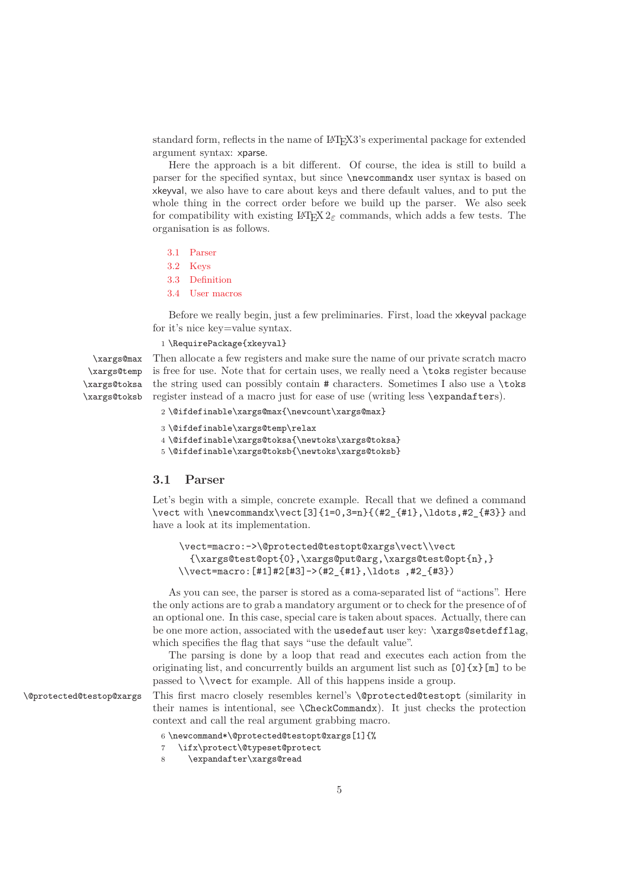standard form, reflects in the name of L<sup>A</sup>TEX3's experimental package for extended argument syntax: xparse.

Here the approach is a bit different. Of course, the idea is still to build a parser for the specified syntax, but since \newcommandx user syntax is based on xkeyval, we also have to care about keys and there default values, and to put the whole thing in the correct order before we build up the parser. We also seek for compatibility with existing  $\angle^{\text{H}}\text{FX}2_{\epsilon}$  commands, which adds a few tests. The organisation is as follows.

- [3.1 Parser](#page-4-0)
- [3.2 Keys](#page-6-0)
- [3.3 Definition](#page-9-0)
- [3.4 User macros](#page-10-0)

Before we really begin, just a few preliminaries. First, load the xkeyval package for it's nice key=value syntax.

#### 1 \RequirePackage{xkeyval}

\xargs@max \xargs@temp \xargs@toksa \xargs@toksb Then allocate a few registers and make sure the name of our private scratch macro is free for use. Note that for certain uses, we really need a \toks register because the string used can possibly contain # characters. Sometimes I also use a \toks register instead of a macro just for ease of use (writing less \expandafters).

```
2 \@ifdefinable\xargs@max{\newcount\xargs@max}
```

```
3 \@ifdefinable\xargs@temp\relax
```

```
4 \@ifdefinable\xargs@toksa{\newtoks\xargs@toksa}
```

```
5 \@ifdefinable\xargs@toksb{\newtoks\xargs@toksb}
```
### <span id="page-4-0"></span>**3.1 Parser**

Let's begin with a simple, concrete example. Recall that we defined a command \vect with \newcommandx\vect[3]{1=0,3=n}{(#2\_{#1},\ldots,#2\_{#3}} and have a look at its implementation.

```
\vect=macro:->\@protected@testopt@xargs\vect\\vect
  {\xargs@test@opt{0},\xargs@put@arg,\xargs@test@opt{n},}
\\vect=macro:[#1]#2[#3]->(#2_{#1},\ldots ,#2_{#3})
```
As you can see, the parser is stored as a coma-separated list of "actions". Here the only actions are to grab a mandatory argument or to check for the presence of of an optional one. In this case, special care is taken about spaces. Actually, there can be one more action, associated with the usedefaut user key: \xargs@setdefflag, which specifies the flag that says "use the default value".

The parsing is done by a loop that read and executes each action from the originating list, and concurrently builds an argument list such as  $[0]$  {x}[m] to be passed to \\vect for example. All of this happens inside a group.

\@protected@testop@xargs This first macro closely resembles kernel's \@protected@testopt (similarity in their names is intentional, see \CheckCommandx). It just checks the protection context and call the real argument grabbing macro.

- 6 \newcommand\*\@protected@testopt@xargs[1]{%
- 7 \ifx\protect\@typeset@protect
- 8 \expandafter\xargs@read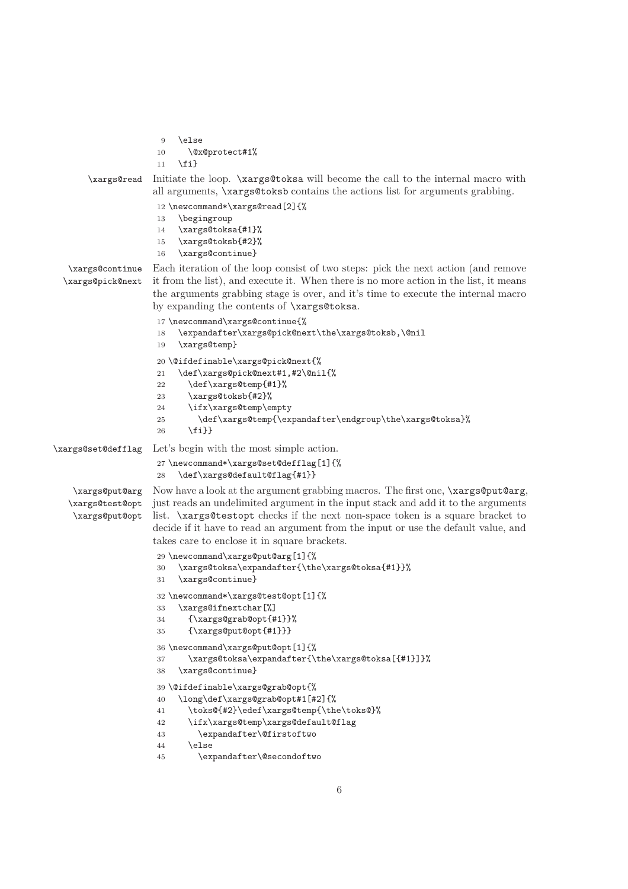```
9 \text{ kg}10 \@x@protect#1%
                     11 \quad \text{If}\xargs@read Initiate the loop. \xargs@toksa will become the call to the internal macro with
                    all arguments, \xargs@toksb contains the actions list for arguments grabbing.
                     12 \newcommand*\xargs@read[2]{%
                     13 \begingroup
                     14 \xargs@toksa{#1}%
                     15 \xargs@toksb{#2}%
                     16 \xargs@continue}
  \xargs@continue
  \xargs@pick@next
                   Each iteration of the loop consist of two steps: pick the next action (and remove
                    it from the list), and execute it. When there is no more action in the list, it means
                    the arguments grabbing stage is over, and it's time to execute the internal macro
                    by expanding the contents of \xargs@toksa.
                     17 \newcommand\xargs@continue{%
                     18 \expandafter\xargs@pick@next\the\xargs@toksb,\@nil
                     19 \xargs@temp}
                     20 \@ifdefinable\xargs@pick@next{%
                     21 \def\xargs@pick@next#1,#2\@nil{%
                     22 \def\xargs@temp{#1}%
                     23 \xargs@toksb{#2}%
                     24 \ifx\xargs@temp\empty
                     25 \def\xargs@temp{\expandafter\endgroup\the\xargs@toksa}%
                     26 \fi}}
\xargs@set@defflag Let's begin with the most simple action.
                     27 \newcommand*\xargs@set@defflag[1]{%
                     28 \def\xargs@default@flag{#1}}
    \xargs@put@arg
   \xargs@test@opt
    \xargs@put@opt
                   Now have a look at the argument grabbing macros. The first one, \xargs@put@arg,
                    just reads an undelimited argument in the input stack and add it to the arguments
                    list. \xargs@testopt checks if the next non-space token is a square bracket to
                    decide if it have to read an argument from the input or use the default value, and
                    takes care to enclose it in square brackets.
                     29 \newcommand\xargs@put@arg[1]{%
                     30 \xargs@toksa\expandafter{\the\xargs@toksa{#1}}%
                     31 \xargs@continue}
                     32 \newcommand*\xargs@test@opt[1]{%
                     33 \xargs@ifnextchar[%]
                     34 {\xargs@grab@opt{#1}}%
                     35 {\xargs@put@opt{#1}}}
                     36 \newcommand\xargs@put@opt[1]{%
                     37 \xargs@toksa\expandafter{\the\xargs@toksa[{#1}]}%
                     38 \xargs@continue}
                     39 \@ifdefinable\xargs@grab@opt{%
                     40 \long\def\xargs@grab@opt#1[#2]{%
                     41 \toks@{#2}\edef\xargs@temp{\the\toks@}%
                     42 \ifx\xargs@temp\xargs@default@flag
                     43 \expandafter\@firstoftwo
                     44 \else
                     45 \expandafter\@secondoftwo
```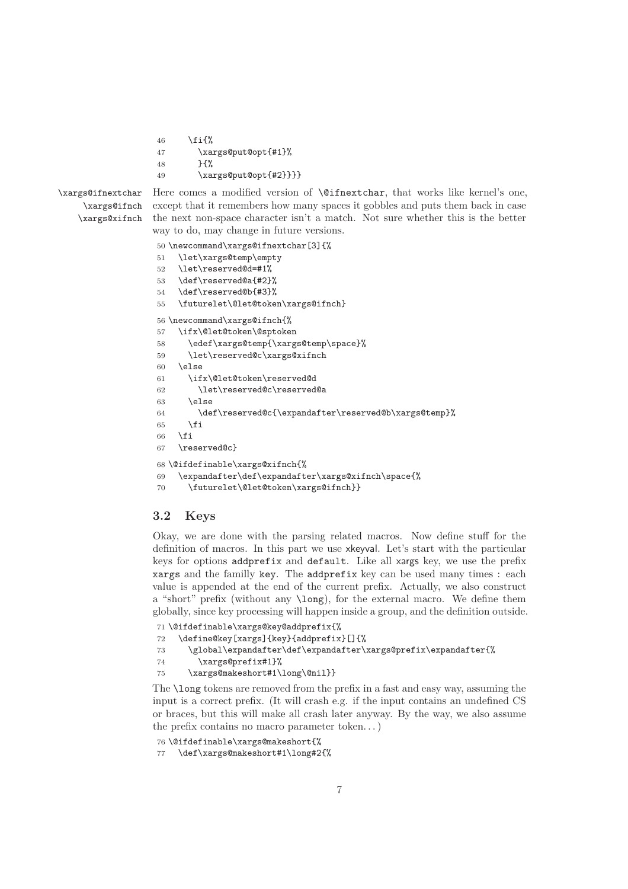```
46 \fi{%
47 \xargs@put@opt{#1}%
48 }{%
49 \xargs@put@opt{#2}}}}
```

```
\xargs@ifnextchar
     \xargs@ifnch
    \xargs@xifnch
```
Here comes a modified version of **\@ifnextchar**, that works like kernel's one, except that it remembers how many spaces it gobbles and puts them back in case the next non-space character isn't a match. Not sure whether this is the better way to do, may change in future versions.

```
50 \newcommand\xargs@ifnextchar[3]{%
51 \let\xargs@temp\empty
52 \let\reserved@d=#1%
53 \def\reserved@a{#2}%
54 \def\reserved@b{#3}%
55 \futurelet\@let@token\xargs@ifnch}
56 \newcommand\xargs@ifnch{%
57 \ifx\@let@token\@sptoken
58 \edef\xargs@temp{\xargs@temp\space}%
59 \let\reserved@c\xargs@xifnch
60 \else
61 \ifx\@let@token\reserved@d
62 \let\reserved@c\reserved@a
63 \qquad \text{leless}64 \def\reserved@c{\expandafter\reserved@b\xargs@temp}%
65 \fi
66 \setminusfi
67 \reserved@c}
68 \@ifdefinable\xargs@xifnch{%
69 \expandafter\def\expandafter\xargs@xifnch\space{%
70 \futurelet\@let@token\xargs@ifnch}}
```
### <span id="page-6-0"></span>**3.2 Keys**

Okay, we are done with the parsing related macros. Now define stuff for the definition of macros. In this part we use xkeyval. Let's start with the particular keys for options addprefix and default. Like all xargs key, we use the prefix xargs and the familly key. The addprefix key can be used many times : each value is appended at the end of the current prefix. Actually, we also construct a "short" prefix (without any \long), for the external macro. We define them globally, since key processing will happen inside a group, and the definition outside.

```
71 \@ifdefinable\xargs@key@addprefix{%
72 \define@key[xargs]{key}{addprefix}[]{%
73 \global\expandafter\def\expandafter\xargs@prefix\expandafter{%
74 \xargs@prefix#1}%
75 \xargs@makeshort#1\long\@nil}}
```
The **\long** tokens are removed from the prefix in a fast and easy way, assuming the input is a correct prefix. (It will crash e.g. if the input contains an undefined CS or braces, but this will make all crash later anyway. By the way, we also assume the prefix contains no macro parameter token. . . )

```
76 \@ifdefinable\xargs@makeshort{%
```

```
77 \def\xargs@makeshort#1\long#2{%
```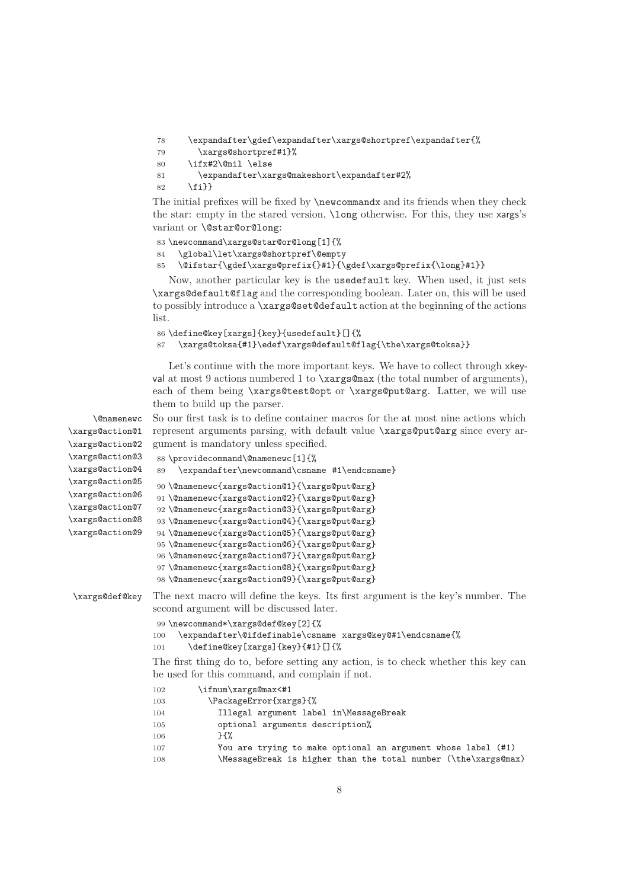78 \expandafter\gdef\expandafter\xargs@shortpref\expandafter{%

```
79 \xargs@shortpref#1}%
```
80 \ifx#2\@nil \else

```
81 \expandafter\xargs@makeshort\expandafter#2%
```

```
82 \quad \{f_i\}
```
The initial prefixes will be fixed by \newcommandx and its friends when they check the star: empty in the stared version, \long otherwise. For this, they use xargs's variant or \@star@or@long:

```
83 \newcommand\xargs@star@or@long[1]{%
84 \global\let\xargs@shortpref\@empty
85 \@ifstar{\gdef\xargs@prefix{}#1}{\gdef\xargs@prefix{\long}#1}}
```
Now, another particular key is the usedefault key. When used, it just sets \xargs@default@flag and the corresponding boolean. Later on, this will be used to possibly introduce a \xargs@set@default action at the beginning of the actions list.

```
86 \define@key[xargs]{key}{usedefault}[]{%
87 \xargs@toksa{#1}\edef\xargs@default@flag{\the\xargs@toksa}}
```
Let's continue with the more important keys. We have to collect through xkeyval at most 9 actions numbered 1 to  $xargs@max$  (the total number of arguments), each of them being \xargs@test@opt or \xargs@put@arg. Latter, we will use them to build up the parser.

108 \MessageBreak is higher than the total number (\the\xargs@max)

8

```
\@namenewc
\xargs@action@1
\xargs@action@2
\xargs@action@3
\xargs@action@4
\xargs@action@5
\xargs@action@6
\xargs@action@7
\xargs@action@8
\xargs@action@9
                 So our first task is to define container macros for the at most nine actions which
                 represent arguments parsing, with default value \xargs@put@arg since every ar-
                 gument is mandatory unless specified.
                  88 \providecommand\@namenewc[1]{%
                 89 \expandafter\newcommand\csname #1\endcsname}
                 90 \@namenewc{xargs@action@1}{\xargs@put@arg}
                  91 \@namenewc{xargs@action@2}{\xargs@put@arg}
                  92 \@namenewc{xargs@action@3}{\xargs@put@arg}
                  93 \@namenewc{xargs@action@4}{\xargs@put@arg}
                  94 \@namenewc{xargs@action@5}{\xargs@put@arg}
                  95 \@namenewc{xargs@action@6}{\xargs@put@arg}
                  96 \@namenewc{xargs@action@7}{\xargs@put@arg}
                  97 \@namenewc{xargs@action@8}{\xargs@put@arg}
                  98 \@namenewc{xargs@action@9}{\xargs@put@arg}
 \xargs@def@key The next macro will define the keys. Its first argument is the key's number. The
                 second argument will be discussed later.
                 99 \newcommand*\xargs@def@key[2]{%
                 100 \expandafter\@ifdefinable\csname xargs@key@#1\endcsname{%
                 101 \define@key[xargs]{key}{#1}[]{%
                 The first thing do to, before setting any action, is to check whether this key can
                 be used for this command, and complain if not.
                 102 \ifnum\xargs@max<#1
                 103 \PackageError{xargs}{%
                 104 Illegal argument label in\MessageBreak
                 105 optional arguments description%
                 106 }{%
                 107 You are trying to make optional an argument whose label (#1)
```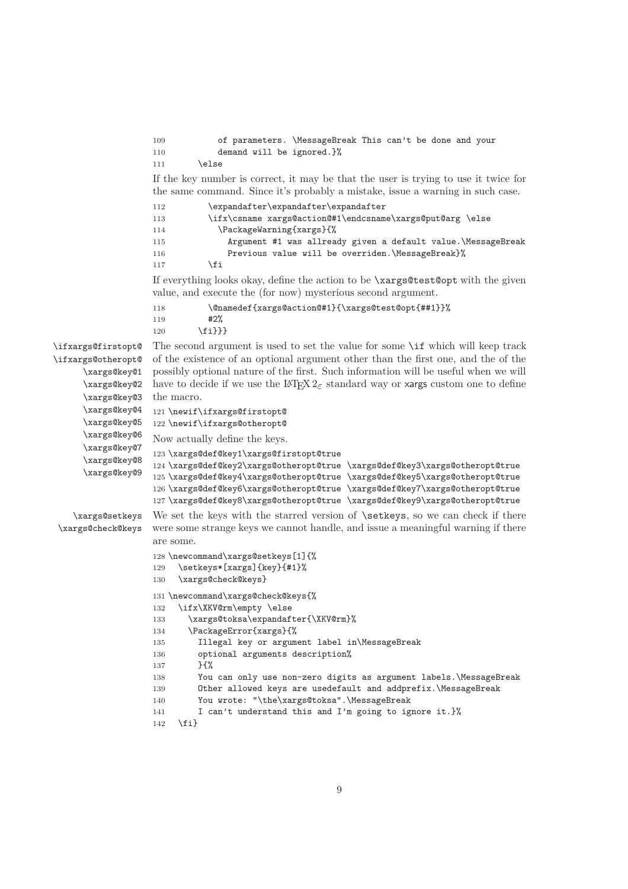```
109 of parameters. \MessageBreak This can't be done and your
110 demand will be ignored.}%
111 \lambdaelse
```
If the key number is correct, it may be that the user is trying to use it twice for the same command. Since it's probably a mistake, issue a warning in such case.

```
112 \expandafter\expandafter\expandafter
113 \ifx\csname xargs@action@#1\endcsname\xargs@put@arg \else
114 \PackageWarning{xargs}{%
115 Argument #1 was allready given a default value.\MessageBreak
116 Previous value will be overriden.\MessageBreak}%
117 \fi
```
If everything looks okay, define the action to be \xargs@test@opt with the given value, and execute the (for now) mysterious second argument.

```
118 \@namedef{xargs@action@#1}{\xargs@test@opt{##1}}%
119 #2%
```
120 \fi}}}

```
\ifxargs@firstopt@
\ifxargs@otheropt@
      \xargs@key@1
      \xargs@key@2
      \xargs@key@3
      \xargs@key@4
      \xargs@key@5
      \xargs@key@6
      \xargs@key@7
      \xargs@key@8
      \xargs@key@9
                     The second argument is used to set the value for some \if which will keep track
                     of the existence of an optional argument other than the first one, and the of the
                     possibly optional nature of the first. Such information will be useful when we will
                     have to decide if we use the LAT<sub>E</sub>X 2\varepsilon standard way or xargs custom one to define
                     the macro.
                     121 \newif\ifxargs@firstopt@
                     122 \newif\ifxargs@otheropt@
                     Now actually define the keys.
                     123 \xargs@def@key1\xargs@firstopt@true
                     124 \xargs@def@key2\xargs@otheropt@true \xargs@def@key3\xargs@otheropt@true
                     125 \xargs@def@key4\xargs@otheropt@true \xargs@def@key5\xargs@otheropt@true
                     126 \xargs@def@key6\xargs@otheropt@true \xargs@def@key7\xargs@otheropt@true
                     127 \xargs@def@key8\xargs@otheropt@true \xargs@def@key9\xargs@otheropt@true
    \xargs@setkeys
 \xargs@check@keys
                     We set the keys with the starred version of \setminus setkeys, so we can check if there
                     were some strange keys we cannot handle, and issue a meaningful warning if there
```

```
are some.
128 \newcommand\xargs@setkeys[1]{%
129 \setkeys*[xargs]{key}{#1}%
130 \xargs@check@keys}
131 \newcommand\xargs@check@keys{%
132 \ifx\XKV@rm\empty \else
133 \xargs@toksa\expandafter{\XKV@rm}%
134 \PackageError{xargs}{%
135 Illegal key or argument label in\MessageBreak
136 optional arguments description%
137 }{%
138 You can only use non-zero digits as argument labels.\MessageBreak
139 Other allowed keys are usedefault and addprefix.\MessageBreak
140 You wrote: "\the\xargs@toksa".\MessageBreak
141 I can't understand this and I'm going to ignore it.}%
142 \quad \text{If}
```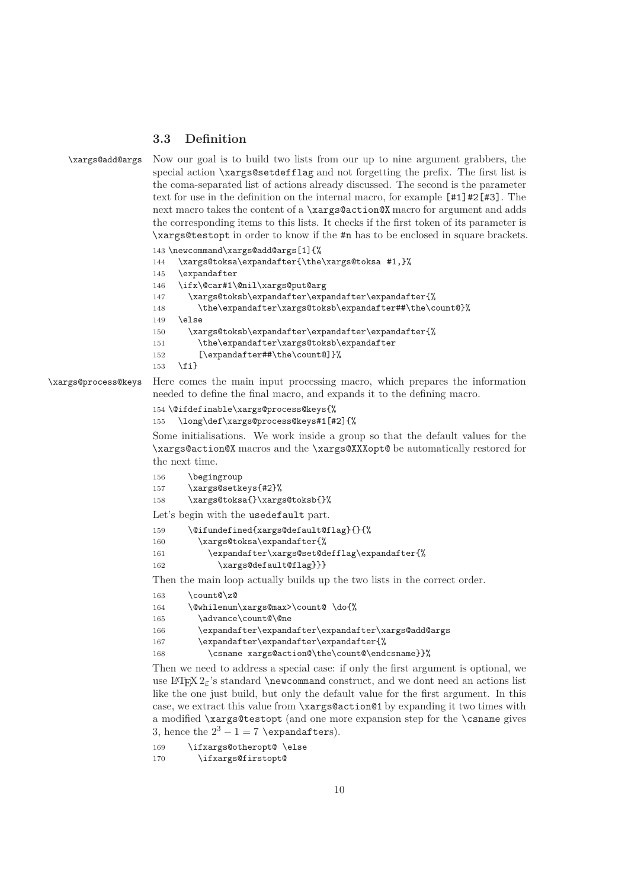#### <span id="page-9-0"></span>**3.3 Definition**

\xargs@add@args Now our goal is to build two lists from our up to nine argument grabbers, the special action \xargs@setdefflag and not forgetting the prefix. The first list is the coma-separated list of actions already discussed. The second is the parameter text for use in the definition on the internal macro, for example  $[#1]$ #2 $[#3]$ . The next macro takes the content of a **\xargs@action@X** macro for argument and adds the corresponding items to this lists. It checks if the first token of its parameter is \xargs@testopt in order to know if the #n has to be enclosed in square brackets.

143 \newcommand\xargs@add@args[1]{%

```
144 \xargs@toksa\expandafter{\the\xargs@toksa #1,}%
```
- 145 \expandafter
- 146 \ifx\@car#1\@nil\xargs@put@arg

```
147 \xargs@toksb\expandafter\expandafter\expandafter{%
148 \the\expandafter\xargs@toksb\expandafter##\the\count@}%
149 \else
150 \xargs@toksb\expandafter\expandafter\expandafter{%
151 \the\expandafter\xargs@toksb\expandafter
152 [\expandafter##\the\count@]}%
```
 $153$  \fi}

\xargs@process@keys Here comes the main input processing macro, which prepares the information needed to define the final macro, and expands it to the defining macro.

```
154 \@ifdefinable\xargs@process@keys{%
155 \long\def\xargs@process@keys#1[#2]{%
```
Some initialisations. We work inside a group so that the default values for the \xargs@action@X macros and the \xargs@XXXopt@ be automatically restored for the next time.

```
156 \begingroup
157 \xargs@setkeys{#2}%
158 \xargs@toksa{}\xargs@toksb{}%
Let's begin with the usedefault part.
159 \@ifundefined{xargs@default@flag}{}{%
160 \xargs@toksa\expandafter{%
161 \expandafter\xargs@set@defflag\expandafter{%
162 \xargs@default@flag}}}
Then the main loop actually builds up the two lists in the correct order.
```

| 163 | \count@\z@                                          |
|-----|-----------------------------------------------------|
| 164 | \@whilenum\xargs@max>\count@ \do{%                  |
| 165 | \advance\count@\@ne                                 |
| 166 | \expandafter\expandafter\expandafter\xargs@add@args |
| 167 | \expandafter\expandafter\expandafter{%              |
| 168 | \csname xargs@action@\the\count@\endcsname}}%       |
|     |                                                     |

Then we need to address a special case: if only the first argument is optional, we use LAT<sub>EX</sub>  $2 \epsilon$ 's standard \newcommand construct, and we dont need an actions list like the one just build, but only the default value for the first argument. In this case, we extract this value from \xargs@action@1 by expanding it two times with a modified \xargs@testopt (and one more expansion step for the \csname gives 3, hence the  $2^3 - 1 = 7$  \expandafters).

```
169 \ifxargs@otheropt@ \else
170 \ifxargs@firstopt@
```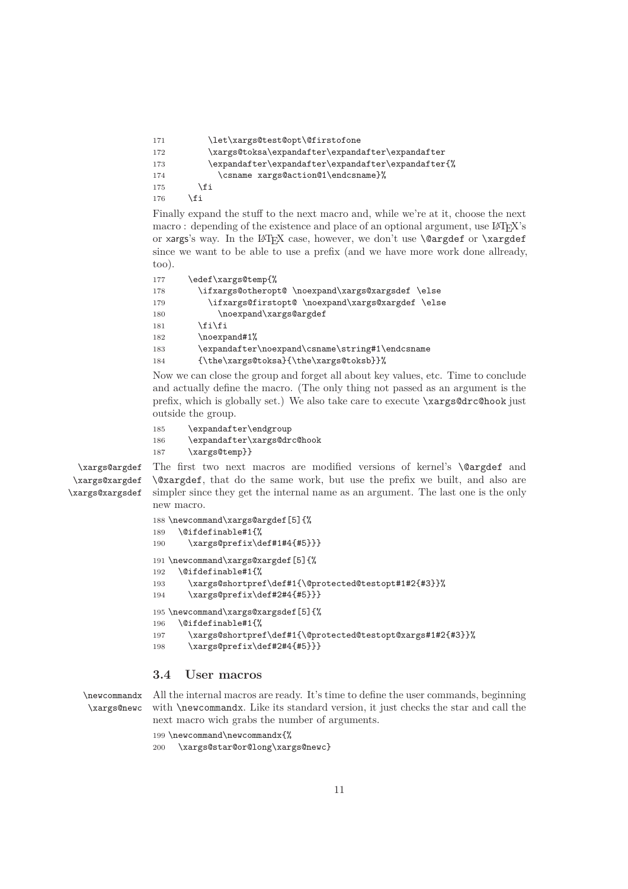| 171 | \let\xargs@test@opt\@firstofone                    |
|-----|----------------------------------------------------|
| 172 | \xargs@toksa\expandafter\expandafter\expandafter   |
| 173 | \expandafter\expandafter\expandafter\expandafter{% |
| 174 | \csname xargs@action@1\endcsname}%                 |
| 175 | \fi                                                |
| 176 | \fi                                                |

Finally expand the stuff to the next macro and, while we're at it, choose the next macro : depending of the existence and place of an optional argument, use  $\text{Lipx's}$ or xargs's way. In the LAT<sub>EX</sub> case, however, we don't use **\@argdef** or **\xargdef** since we want to be able to use a prefix (and we have more work done allready, too).

| 177 | \edef\xargs@temp{%                                |
|-----|---------------------------------------------------|
| 178 | \ifxargs@otheropt@ \noexpand\xargs@xargsdef \else |
| 179 | \ifxargs@firstopt@ \noexpand\xargs@xargdef \else  |
| 180 | \noexpand\xargs@argdef                            |
| 181 | \fi\fi                                            |
| 182 | \noexpand#1%                                      |
| 183 | \expandafter\noexpand\csname\string#1\endcsname   |
| 184 | {\the\xargs@toksa}{\the\xargs@toksb}}%            |

Now we can close the group and forget all about key values, etc. Time to conclude and actually define the macro. (The only thing not passed as an argument is the prefix, which is globally set.) We also take care to execute \xargs@drc@hook just outside the group.

185 \expandafter\endgroup 186 \expandafter\xargs@drc@hook 187 \xargs@temp}}

\xargs@argdef \xargs@xargdef \xargs@xargsdef The first two next macros are modified versions of kernel's **\@argdef** and \@xargdef, that do the same work, but use the prefix we built, and also are simpler since they get the internal name as an argument. The last one is the only new macro.

```
188 \newcommand\xargs@argdef[5]{%
189 \@ifdefinable#1{%
190 \xargs@prefix\def#1#4{#5}}}
191 \newcommand\xargs@xargdef[5]{%
192 \@ifdefinable#1{%
193 \xargs@shortpref\def#1{\@protected@testopt#1#2{#3}}%
194 \xargs@prefix\def#2#4{#5}}}
195 \newcommand\xargs@xargsdef[5]{%
196 \@ifdefinable#1{%
197 \xargs@shortpref\def#1{\@protected@testopt@xargs#1#2{#3}}%
198 \xargs@prefix\def#2#4{#5}}}
```
### <span id="page-10-0"></span>**3.4 User macros**

\newcommandx \xargs@newc All the internal macros are ready. It's time to define the user commands, beginning with **\newcommandx**. Like its standard version, it just checks the star and call the next macro wich grabs the number of arguments.

199 \newcommand\newcommandx{%

```
200 \xargs@star@or@long\xargs@newc}
```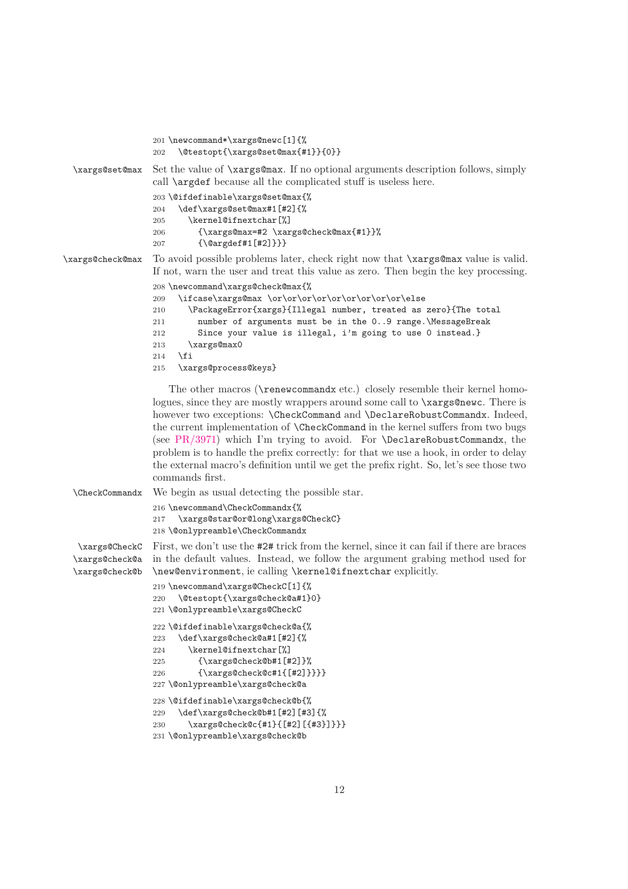```
201 \newcommand*\xargs@newc[1]{%
                  202 \@testopt{\xargs@set@max{#1}}{0}}
  \xargs@set@max Set the value of \xargs@max. If no optional arguments description follows, simply
                  call \argdef because all the complicated stuff is useless here.
                  203 \@ifdefinable\xargs@set@max{%
                  204 \def\xargs@set@max#1[#2]{%
                  205 \kernel@ifnextchar[%]
                  206 {\xargs@max=#2 \xargs@check@max{#1}}%
                  207 {\@argdef#1[#2]}}}
\xargs@check@max To avoid possible problems later, check right now that \xargs@max value is valid.
                  If not, warn the user and treat this value as zero. Then begin the key processing.
                  208 \newcommand\xargs@check@max{%
                  209 \ifcase\xargs@max \or\or\or\or\or\or\or\or\or\else
                  210 \PackageError{xargs}{Illegal number, treated as zero}{The total
                  211 number of arguments must be in the 0..9 range.\MessageBreak
                  212 Since your value is illegal, i'm going to use 0 instead.}
                  213 \xargs@max0
                  214 \fi
                  215 \xargs@process@keys}
                     The other macros (\renewcommandx etc.) closely resemble their kernel homo-
                  logues, since they are mostly wrappers around some call to \xargs@newc. There is
                  however two exceptions: \CheckCommand and \DeclareRobustCommandx. Indeed,
                  the current implementation of \CheckCommand in the kernel suffers from two bugs
                  (see PR/3971) which I'm trying to avoid. For \DeclareRobustCommandx, the
```
problem is to handle the prefix correctly: for that we use a hook, in order to delay the external macro's definition until we get the prefix right. So, let's see those two commands first.

\CheckCommandx We begin as usual detecting the possible star. \newcommand\CheckCommandx{% \xargs@star@or@long\xargs@CheckC} \@onlypreamble\CheckCommandx \xargs@CheckC \xargs@check@a \xargs@check@b First, we don't use the #2# trick from the kernel, since it can fail if there are braces in the default values. Instead, we follow the argument grabing method used for \new@environment, ie calling \kernel@ifnextchar explicitly.

```
219 \newcommand\xargs@CheckC[1]{%
220 \@testopt{\xargs@check@a#1}0}
221 \@onlypreamble\xargs@CheckC
222 \@ifdefinable\xargs@check@a{%
223 \def\xargs@check@a#1[#2]{%
224 \kernel@ifnextchar[%]
225 {\xargs@check@b#1[#2]}%
226 {\xargs@check@c#1{[#2]}}}}
227 \@onlypreamble\xargs@check@a
228 \@ifdefinable\xargs@check@b{%
229 \def\xargs@check@b#1[#2][#3]{%
230 \xargs@check@c{#1}{[#2][{#3}]}}}
231 \@onlypreamble\xargs@check@b
```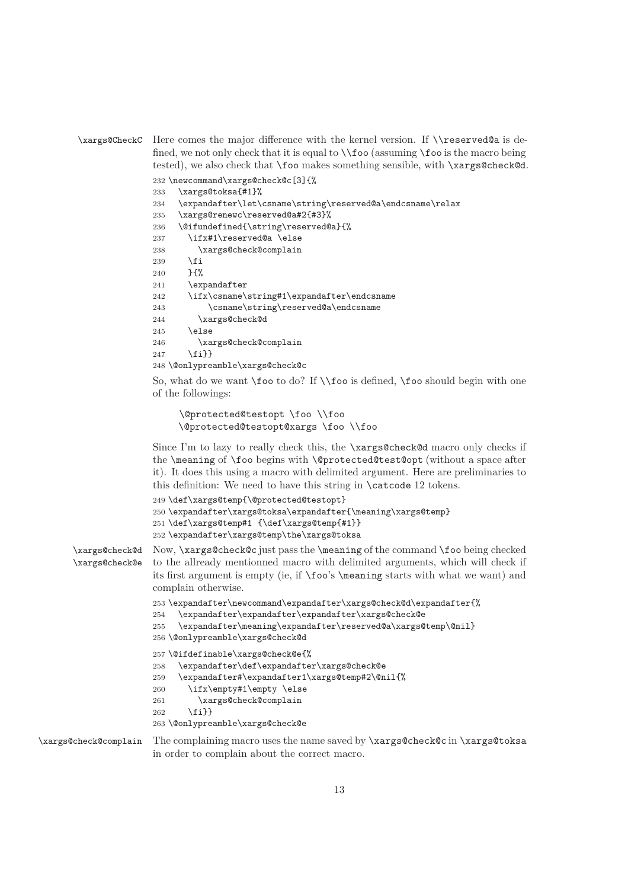```
\xargs@CheckC Here comes the major difference with the kernel version. If \\reserved@a is de-
                fined, we not only check that it is equal to \iota (assuming \iota foo is the macro being
                tested), we also check that \foo makes something sensible, with \xargs@check@d.
```

```
232 \newcommand\xargs@check@c[3]{%
233 \xargs@toksa{#1}%
234 \expandafter\let\csname\string\reserved@a\endcsname\relax
235 \xargs@renewc\reserved@a#2{#3}%
236 \@ifundefined{\string\reserved@a}{%
237 \ifx#1\reserved@a \else
238 \xargs@check@complain
239 \overrightarrow{f_1}240 }{%
241 \expandafter
242 \ifx\csname\string#1\expandafter\endcsname
243 \csname\string\reserved@a\endcsname
244 \xargs@check@d
245 \else
246 \xargs@check@complain
247 \fi}}
248 \@onlypreamble\xargs@check@c
```
So, what do we want \foo to do? If \\foo is defined, \foo should begin with one of the followings:

```
\@protected@testopt \foo \\foo
\@protected@testopt@xargs \foo \\foo
```
Since I'm to lazy to really check this, the \xargs@check@d macro only checks if the \meaning of \foo begins with \@protected@test@opt (without a space after it). It does this using a macro with delimited argument. Here are preliminaries to this definition: We need to have this string in \catcode 12 tokens.

```
249 \def\xargs@temp{\@protected@testopt}
250 \expandafter\xargs@toksa\expandafter{\meaning\xargs@temp}
251 \def\xargs@temp#1 {\def\xargs@temp{#1}}
252 \expandafter\xargs@temp\the\xargs@toksa
```
\xargs@check@d \xargs@check@e Now, \xargs@check@c just pass the \meaning of the command \foo being checked to the allready mentionned macro with delimited arguments, which will check if its first argument is empty (ie, if \foo's \meaning starts with what we want) and complain otherwise.

```
253 \expandafter\newcommand\expandafter\xargs@check@d\expandafter{%
```

```
254 \expandafter\expandafter\expandafter\xargs@check@e
```

```
255 \expandafter\meaning\expandafter\reserved@a\xargs@temp\@nil}
256 \@onlypreamble\xargs@check@d
```

```
257 \@ifdefinable\xargs@check@e{%
```

```
258 \expandafter\def\expandafter\xargs@check@e
```

```
259 \expandafter#\expandafter1\xargs@temp#2\@nil{%
```

```
260 \ifx\empty#1\empty \else
```

```
261 \xargs@check@complain
```

```
262 \{f_i\}
```
263 \@onlypreamble\xargs@check@e

```
\xargs@check@complain The complaining macro uses the name saved by \xargs@check@c in \xargs@toksa
                       in order to complain about the correct macro.
```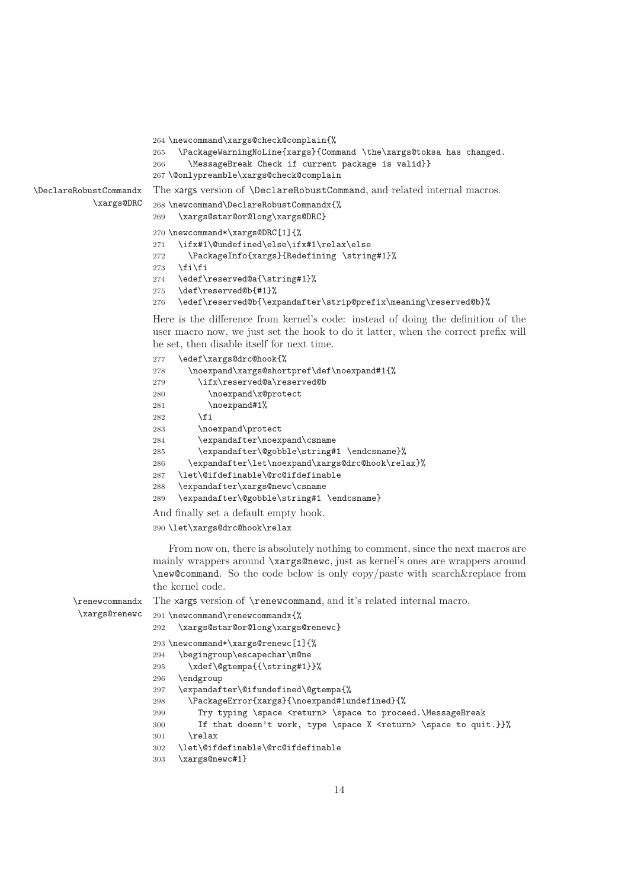```
264 \newcommand\xargs@check@complain{%
                       265 \PackageWarningNoLine{xargs}{Command \the\xargs@toksa has changed.
                       266 \MessageBreak Check if current package is valid}}
                       267 \@onlypreamble\xargs@check@complain
\DeclareRobustCommandx
           \xargs@DRC
                       The xargs version of \DeclareRobustCommand, and related internal macros.
                       268 \newcommand\DeclareRobustCommandx{%
                       269 \xargs@star@or@long\xargs@DRC}
                       270 \newcommand*\xargs@DRC[1]{%
                       271 \ifx#1\@undefined\else\ifx#1\relax\else
                       272 \PackageInfo{xargs}{Redefining \string#1}%
                       273 \{f_i\}_i274 \edef\reserved@a{\string#1}%
                        275 \def\reserved@b{#1}%
                        276 \edef\reserved@b{\expandafter\strip@prefix\meaning\reserved@b}%
                       Here is the difference from kernel's code: instead of doing the definition of the
                        user macro now, we just set the hook to do it latter, when the correct prefix will
                       be set, then disable itself for next time.
                       277 \edef\xargs@drc@hook{%
                       278 \noexpand\xargs@shortpref\def\noexpand#1{%
                       279 \ifx\reserved@a\reserved@b
                        280 \noexpand\x@protect
                        281 \noexpand#1%
                       282 \fi
                       283 \noexpand\protect
                       284 \expandafter\noexpand\csname
                        285 \expandafter\@gobble\string#1 \endcsname}%
                        286 \expandafter\let\noexpand\xargs@drc@hook\relax}%
                        287 \let\@ifdefinable\@rc@ifdefinable
                        288 \expandafter\xargs@newc\csname
                        289 \expandafter\@gobble\string#1 \endcsname}
                       And finally set a default empty hook.
                        290 \let\xargs@drc@hook\relax
                           From now on, there is absolutely nothing to comment, since the next macros are
                       mainly wrappers around \xargs@newc, just as kernel's ones are wrappers around
                        \new@command. So the code below is only copy/paste with search&replace from
                        the kernel code.
```

```
\renewcommandx
\xargs@renewc
               The xargs version of \renewcommand, and it's related internal macro.
               291 \newcommand\renewcommandx{%
               292 \xargs@star@or@long\xargs@renewc}
               293 \newcommand*\xargs@renewc[1]{%
               294 \begingroup\escapechar\m@ne
               295 \xdef\@gtempa{{\string#1}}%
               296 \endgroup
               297 \expandafter\@ifundefined\@gtempa{%
               298 \PackageError{xargs}{\noexpand#1undefined}{%
               299 Try typing \space <return> \space to proceed.\MessageBreak
               300 If that doesn't work, type \space X <return> \space to quit.}}%
               301 \text{relax}302 \let\@ifdefinable\@rc@ifdefinable
               303 \xargs@newc#1}
```